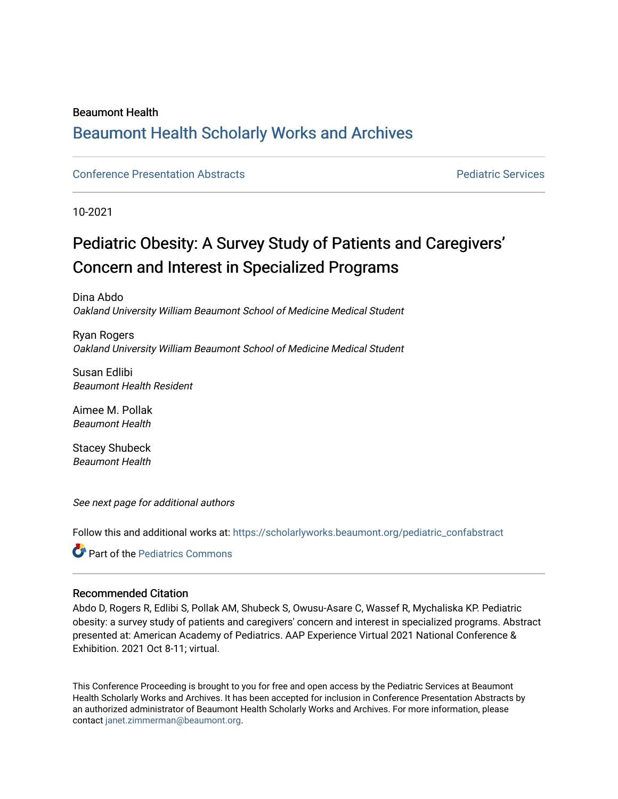#### Beaumont Health

## [Beaumont Health Scholarly Works and Archives](https://scholarlyworks.beaumont.org/)

#### [Conference Presentation Abstracts](https://scholarlyworks.beaumont.org/pediatric_confabstract) **Property Pediatric Services** Pediatric Services

10-2021

## Pediatric Obesity: A Survey Study of Patients and Caregivers' Concern and Interest in Specialized Programs

Dina Abdo Oakland University William Beaumont School of Medicine Medical Student

Ryan Rogers Oakland University William Beaumont School of Medicine Medical Student

Susan Edlibi Beaumont Health Resident

Aimee M. Pollak Beaumont Health

Stacey Shubeck Beaumont Health

See next page for additional authors

Follow this and additional works at: [https://scholarlyworks.beaumont.org/pediatric\\_confabstract](https://scholarlyworks.beaumont.org/pediatric_confabstract?utm_source=scholarlyworks.beaumont.org%2Fpediatric_confabstract%2F4&utm_medium=PDF&utm_campaign=PDFCoverPages) 

**C**<sup> $\bullet$ </sup> Part of the [Pediatrics Commons](http://network.bepress.com/hgg/discipline/700?utm_source=scholarlyworks.beaumont.org%2Fpediatric_confabstract%2F4&utm_medium=PDF&utm_campaign=PDFCoverPages)

#### Recommended Citation

Abdo D, Rogers R, Edlibi S, Pollak AM, Shubeck S, Owusu-Asare C, Wassef R, Mychaliska KP. Pediatric obesity: a survey study of patients and caregivers' concern and interest in specialized programs. Abstract presented at: American Academy of Pediatrics. AAP Experience Virtual 2021 National Conference & Exhibition. 2021 Oct 8-11; virtual.

This Conference Proceeding is brought to you for free and open access by the Pediatric Services at Beaumont Health Scholarly Works and Archives. It has been accepted for inclusion in Conference Presentation Abstracts by an authorized administrator of Beaumont Health Scholarly Works and Archives. For more information, please contact [janet.zimmerman@beaumont.org.](mailto:janet.zimmerman@beaumont.org)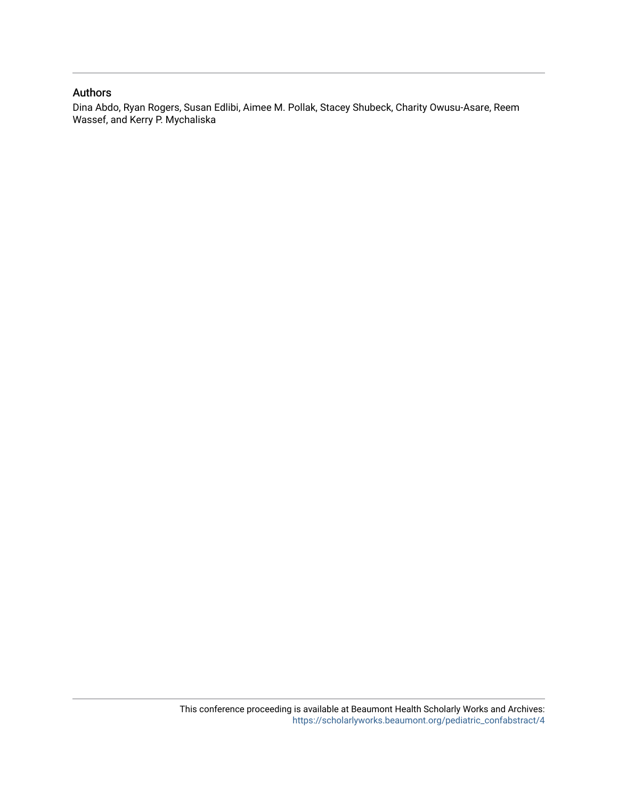#### Authors

Dina Abdo, Ryan Rogers, Susan Edlibi, Aimee M. Pollak, Stacey Shubeck, Charity Owusu-Asare, Reem Wassef, and Kerry P. Mychaliska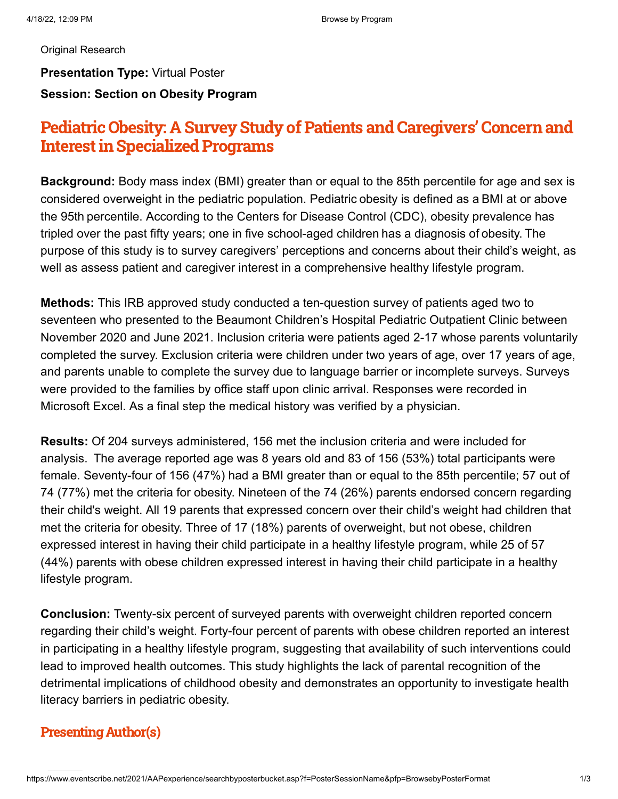#### [Original Research](https://www.eventscribe.net/2021/AAPexperience/searchbyposterbucket.asp?bm=Original+Research&t=Original+Research&pfp=Track)

#### **Presentation Type:** Virtual Poster **Session: Section on Obesity Program**

## Pediatric Obesity: A Survey Study of Patients and Caregivers' Concern and **Interest in Specialized Programs**

**Background:** Body mass index (BMI) greater than or equal to the 85th percentile for age and sex is considered overweight in the pediatric population. Pediatric obesity is defined as a BMI at or above the 95th percentile. According to the Centers for Disease Control (CDC), obesity prevalence has tripled over the past fifty years; one in five school-aged children has a diagnosis of obesity. The purpose of this study is to survey caregivers' perceptions and concerns about their child's weight, as well as assess patient and caregiver interest in a comprehensive healthy lifestyle program.

**Methods:** This IRB approved study conducted a ten-question survey of patients aged two to seventeen who presented to the Beaumont Children's Hospital Pediatric Outpatient Clinic between November 2020 and June 2021. Inclusion criteria were patients aged 2-17 whose parents voluntarily completed the survey. Exclusion criteria were children under two years of age, over 17 years of age, and parents unable to complete the survey due to language barrier or incomplete surveys. Surveys were provided to the families by office staff upon clinic arrival. Responses were recorded in Microsoft Excel. As a final step the medical history was verified by a physician.

**Results:** Of 204 surveys administered, 156 met the inclusion criteria and were included for analysis. The average reported age was 8 years old and 83 of 156 (53%) total participants were female. Seventy-four of 156 (47%) had a BMI greater than or equal to the 85th percentile; 57 out of 74 (77%) met the criteria for obesity. Nineteen of the 74 (26%) parents endorsed concern regarding their child's weight. All 19 parents that expressed concern over their child's weight had children that met the criteria for obesity. Three of 17 (18%) parents of overweight, but not obese, children expressed interest in having their child participate in a healthy lifestyle program, while 25 of 57 (44%) parents with obese children expressed interest in having their child participate in a healthy lifestyle program.

**Conclusion:** Twenty-six percent of surveyed parents with overweight children reported concern regarding their child's weight. Forty-four percent of parents with obese children reported an interest in participating in a healthy lifestyle program, suggesting that availability of such interventions could lead to improved health outcomes. This study highlights the lack of parental recognition of the detrimental implications of childhood obesity and demonstrates an opportunity to investigate health literacy barriers in pediatric obesity.

#### **Presenting Author(s)**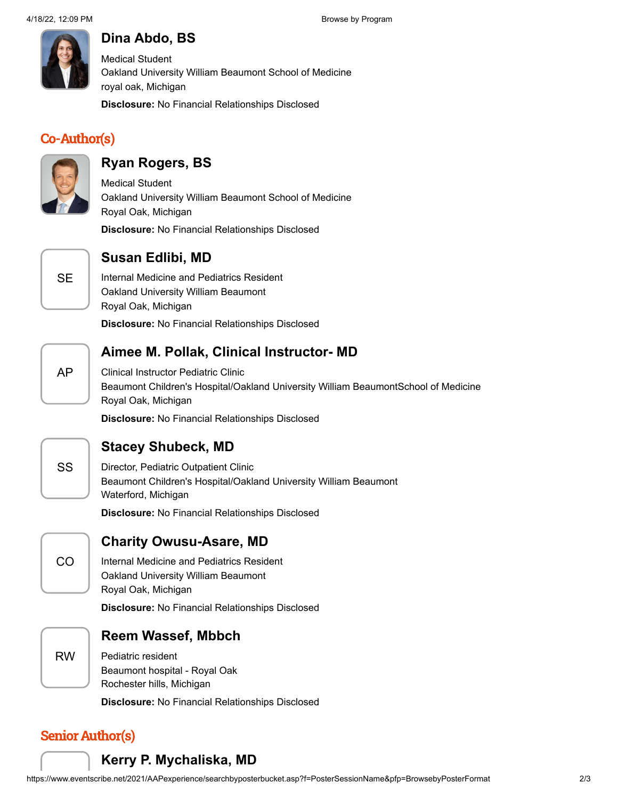

## **Dina Abdo, BS**

Medical Student Oakland University William Beaumont School of Medicine royal oak, Michigan

**Disclosure:** No Financial Relationships Disclosed

#### Co-Author(s)



#### **Ryan Rogers, BS**

Medical Student Oakland University William Beaumont School of Medicine Royal Oak, Michigan

**Disclosure:** No Financial Relationships Disclosed



#### **Susan Edlibi, MD**

Internal Medicine and Pediatrics Resident Oakland University William Beaumont Royal Oak, Michigan

**Disclosure:** No Financial Relationships Disclosed

# AP

#### **Aimee M. Pollak, Clinical Instructor- MD**

Clinical Instructor Pediatric Clinic Beaumont Children's Hospital/Oakland University William BeaumontSchool of Medicine Royal Oak, Michigan

**Disclosure:** No Financial Relationships Disclosed



CO

#### **Stacey Shubeck, MD**

Director, Pediatric Outpatient Clinic Beaumont Children's Hospital/Oakland University William Beaumont Waterford, Michigan

**Disclosure:** No Financial Relationships Disclosed

#### **Charity Owusu-Asare, MD**

Internal Medicine and Pediatrics Resident Oakland University William Beaumont Royal Oak, Michigan

**Disclosure:** No Financial Relationships Disclosed



#### **Reem Wassef, Mbbch**

Pediatric resident Beaumont hospital - Royal Oak Rochester hills, Michigan

**Disclosure:** No Financial Relationships Disclosed

## **Senior Author(s)**

#### **Kerry P. Mychaliska, MD**